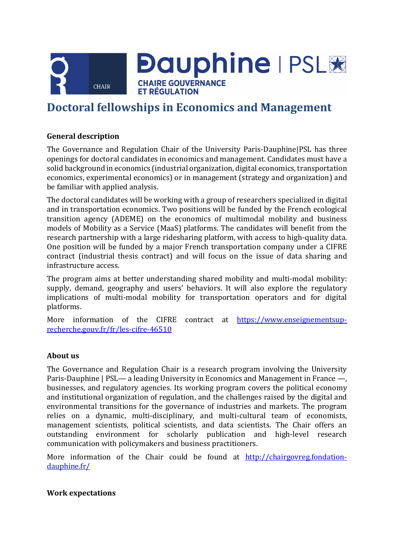

**Dauphine | PSL&** 

**CHAIRE GOUVERNANCE ET RÉGULATION** 

# **Doctoral fellowships in Economics and Management**

## **General description**

The Governance and Regulation Chair of the University Paris-Dauphine|PSL has three openings for doctoral candidates in economics and management. Candidates must have a solid background in economics (industrial organization, digital economics, transportation economics, experimental economics) or in management (strategy and organization) and be familiar with applied analysis.

The doctoral candidates will be working with a group of researchers specialized in digital and in transportation economics. Two positions will be funded by the French ecological transition agency (ADEME) on the economics of multimodal mobility and business models of Mobility as a Service (MaaS) platforms. The candidates will benefit from the research partnership with a large ridesharing platform, with access to high-quality data. One position will be funded by a major French transportation company under a CIFRE contract (industrial thesis contract) and will focus on the issue of data sharing and infrastructure access.

The program aims at better understanding shared mobility and multi-modal mobility: supply, demand, geography and users' behaviors. It will also explore the regulatory implications of multi-modal mobility for transportation operators and for digital platforms.

More information of the CIFRE contract at [https://www.enseignementsup](https://www.enseignementsup-recherche.gouv.fr/fr/les-cifre-46510)[recherche.gouv.fr/fr/les-cifre-46510](https://www.enseignementsup-recherche.gouv.fr/fr/les-cifre-46510)

#### **About us**

The Governance and Regulation Chair is a research program involving the University Paris-Dauphine | PSL— a leading University in Economics and Management in France —, businesses, and regulatory agencies. Its working program covers the political economy and institutional organization of regulation, and the challenges raised by the digital and environmental transitions for the governance of industries and markets. The program relies on a dynamic, multi-disciplinary, and multi-cultural team of economists, management scientists, political scientists, and data scientists. The Chair offers an outstanding environment for scholarly publication and high-level research communication with policymakers and business practitioners.

More information of the Chair could be found at [http://chairgovreg.fondation](http://chairgovreg.fondation-dauphine.fr/)[dauphine.fr/](http://chairgovreg.fondation-dauphine.fr/)

#### **Work expectations**